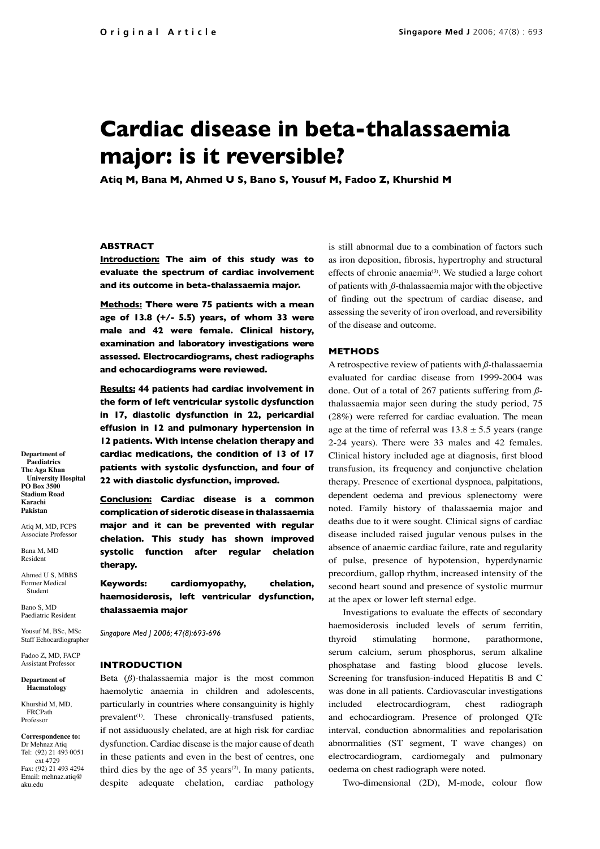# **Cardiac disease in beta-thalassaemia major: is it reversible?**

**Atiq M, Bana M, Ahmed U S, Bano S, Yousuf M, Fadoo Z, Khurshid M**

# **ABSTRACT**

**Introduction: The aim of this study was to evaluate the spectrum of cardiac involvement and its outcome in beta-thalassaemia major.**

**Methods: There were 75 patients with a mean age of 13.8 (+/- 5.5) years, of whom 33 were male and 42 were female. Clinical history, examination and laboratory investigations were assessed. Electrocardiograms, chest radiographs and echocardiograms were reviewed.**

**Results: 44 patients had cardiac involvement in the form of left ventricular systolic dysfunction in 17, diastolic dysfunction in 22, pericardial effusion in 12 and pulmonary hypertension in 12 patients. With intense chelation therapy and cardiac medications, the condition of 13 of 17 patients with systolic dysfunction, and four of 22 with diastolic dysfunction, improved.**

**Conclusion: Cardiac disease is a common complication of siderotic disease in thalassaemia major and it can be prevented with regular chelation. This study has shown improved systolic function after regular chelation therapy.**

**Keywords: cardiomyopathy, chelation, haemosiderosis, left ventricular dysfunction, thalassaemia major**

*Singapore Med J 2006; 47(8):693-696*

#### **INTRODUCTION**

Beta (*ß*)-thalassaemia major is the most common haemolytic anaemia in children and adolescents, particularly in countries where consanguinity is highly prevalent<sup>(1)</sup>. These chronically-transfused patients, if not assiduously chelated, are at high risk for cardiac dysfunction. Cardiac disease is the major cause of death in these patients and even in the best of centres, one third dies by the age of 35 years<sup> $(2)$ </sup>. In many patients, despite adequate chelation, cardiac pathology

is still abnormal due to a combination of factors such as iron deposition, fibrosis, hypertrophy and structural effects of chronic anaemia<sup>(3)</sup>. We studied a large cohort of patients with *ß*-thalassaemia major with the objective of finding out the spectrum of cardiac disease, and assessing the severity of iron overload, and reversibility of the disease and outcome.

## **METHODS**

A retrospective review of patients with *ß*-thalassaemia evaluated for cardiac disease from 1999-2004 was done. Out of a total of 267 patients suffering from *ß*thalassaemia major seen during the study period, 75 (28%) were referred for cardiac evaluation. The mean age at the time of referral was  $13.8 \pm 5.5$  years (range 2-24 years). There were 33 males and 42 females. Clinical history included age at diagnosis, first blood transfusion, its frequency and conjunctive chelation therapy. Presence of exertional dyspnoea, palpitations, dependent oedema and previous splenectomy were noted. Family history of thalassaemia major and deaths due to it were sought. Clinical signs of cardiac disease included raised jugular venous pulses in the absence of anaemic cardiac failure, rate and regularity of pulse, presence of hypotension, hyperdynamic precordium, gallop rhythm, increased intensity of the second heart sound and presence of systolic murmur at the apex or lower left sternal edge.

Investigations to evaluate the effects of secondary haemosiderosis included levels of serum ferritin, thyroid stimulating hormone, parathormone, serum calcium, serum phosphorus, serum alkaline phosphatase and fasting blood glucose levels. Screening for transfusion-induced Hepatitis B and C was done in all patients. Cardiovascular investigations included electrocardiogram, chest radiograph and echocardiogram. Presence of prolonged QTc interval, conduction abnormalities and repolarisation abnormalities (ST segment, T wave changes) on electrocardiogram, cardiomegaly and pulmonary oedema on chest radiograph were noted.

Two-dimensional (2D), M-mode, colour flow

**Department of Paediatrics The Aga Khan University Hospital PO Box 3500 Stadium Road Karachi Pakistan**

Atiq M, MD, FCPS Associate Professor

Bana M, MD Resident

Ahmed U S, MBBS Former Medical Student

Bano S, MD Paediatric Resident Yousuf M, BSc, MSc

Staff Echocardiographer Fadoo Z, MD, FACP

Assistant Professor **Department of** 

**Haematology**

Khurshid M, MD, FRCPath Professor

**Correspondence to:** Dr Mehnaz Atiq Tel: (92) 21 493 0051 ext 4729 Fax: (92) 21 493 4294 Email: mehnaz.atiq@ aku.edu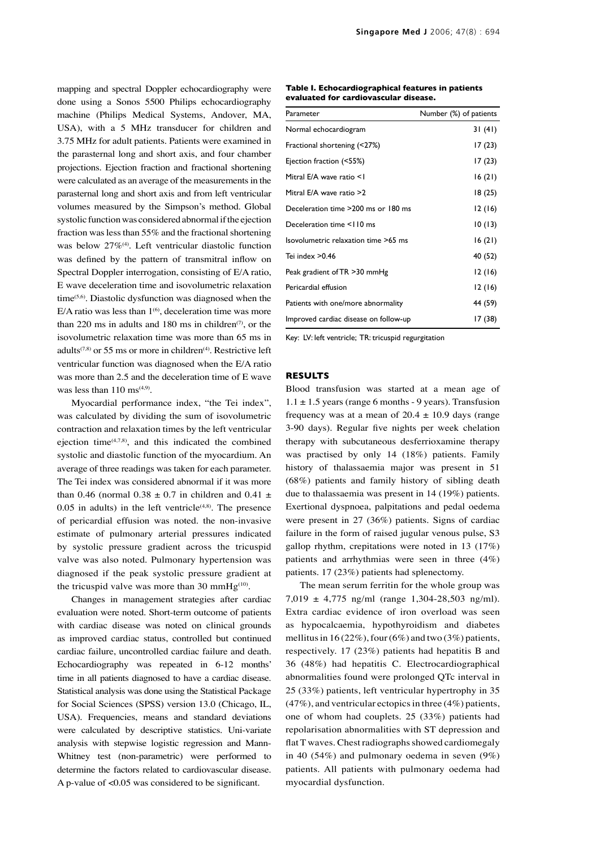mapping and spectral Doppler echocardiography were done using a Sonos 5500 Philips echocardiography machine (Philips Medical Systems, Andover, MA, USA), with a 5 MHz transducer for children and 3.75 MHz for adult patients. Patients were examined in the parasternal long and short axis, and four chamber projections. Ejection fraction and fractional shortening were calculated as an average of the measurements in the parasternal long and short axis and from left ventricular volumes measured by the Simpson's method. Global systolic function was considered abnormal if the ejection fraction was less than 55% and the fractional shortening was below 27%<sup>(4)</sup>. Left ventricular diastolic function was defined by the pattern of transmitral inflow on Spectral Doppler interrogation, consisting of E/A ratio, E wave deceleration time and isovolumetric relaxation time<sup>(5,6)</sup>. Diastolic dysfunction was diagnosed when the E/A ratio was less than  $1^{(6)}$ , deceleration time was more than 220 ms in adults and 180 ms in children<sup> $(7)$ </sup>, or the isovolumetric relaxation time was more than 65 ms in adults<sup> $(7,8)$ </sup> or 55 ms or more in children<sup> $(4)$ </sup>. Restrictive left ventricular function was diagnosed when the E/A ratio was more than 2.5 and the deceleration time of E wave was less than  $110 \text{ ms}^{(4,9)}$ .

Myocardial performance index, "the Tei index", was calculated by dividing the sum of isovolumetric contraction and relaxation times by the left ventricular ejection time(4,7,8), and this indicated the combined systolic and diastolic function of the myocardium. An average of three readings was taken for each parameter. The Tei index was considered abnormal if it was more than 0.46 (normal  $0.38 \pm 0.7$  in children and  $0.41 \pm$  $0.05$  in adults) in the left ventricle<sup> $(4,8)$ </sup>. The presence of pericardial effusion was noted. the non-invasive estimate of pulmonary arterial pressures indicated by systolic pressure gradient across the tricuspid valve was also noted. Pulmonary hypertension was diagnosed if the peak systolic pressure gradient at the tricuspid valve was more than 30 mmHg<sup>(10)</sup>.

Changes in management strategies after cardiac evaluation were noted. Short-term outcome of patients with cardiac disease was noted on clinical grounds as improved cardiac status, controlled but continued cardiac failure, uncontrolled cardiac failure and death. Echocardiography was repeated in 6-12 months' time in all patients diagnosed to have a cardiac disease. Statistical analysis was done using the Statistical Package for Social Sciences (SPSS) version 13.0 (Chicago, IL, USA). Frequencies, means and standard deviations were calculated by descriptive statistics. Uni-variate analysis with stepwise logistic regression and Mann-Whitney test (non-parametric) were performed to determine the factors related to cardiovascular disease. A p-value of <0.05 was considered to be significant.

| Table I. Echocardiographical features in patients |  |
|---------------------------------------------------|--|
| evaluated for cardiovascular disease.             |  |

| Parameter                             | Number (%) of patients |  |  |
|---------------------------------------|------------------------|--|--|
| Normal echocardiogram                 | 31 (41)                |  |  |
| Fractional shortening (<27%)          | 17 (23)                |  |  |
| Ejection fraction (<55%)              | 17(23)                 |  |  |
| Mitral E/A wave ratio <1              | 16(21)                 |  |  |
| Mitral E/A wave ratio >2              | 18 (25)                |  |  |
| Deceleration time >200 ms or 180 ms   | 12(16)                 |  |  |
| Deceleration time <110 ms             | 10(13)                 |  |  |
| Isovolumetric relaxation time >65 ms  | 16(21)                 |  |  |
| Tei index $>0.46$                     | 40 (52)                |  |  |
| Peak gradient of TR >30 mmHg          | 12(16)                 |  |  |
| Pericardial effusion                  | 12(16)                 |  |  |
| Patients with one/more abnormality    | 44 (59)                |  |  |
| Improved cardiac disease on follow-up | 17 (38)                |  |  |

Key: LV: left ventricle; TR: tricuspid regurgitation

## **RESULTS**

Blood transfusion was started at a mean age of  $1.1 \pm 1.5$  years (range 6 months - 9 years). Transfusion frequency was at a mean of  $20.4 \pm 10.9$  days (range 3-90 days). Regular five nights per week chelation therapy with subcutaneous desferrioxamine therapy was practised by only 14 (18%) patients. Family history of thalassaemia major was present in 51 (68%) patients and family history of sibling death due to thalassaemia was present in 14 (19%) patients. Exertional dyspnoea, palpitations and pedal oedema were present in 27 (36%) patients. Signs of cardiac failure in the form of raised jugular venous pulse, S3 gallop rhythm, crepitations were noted in 13 (17%) patients and arrhythmias were seen in three (4%) patients. 17 (23%) patients had splenectomy.

The mean serum ferritin for the whole group was 7,019 ± 4,775 ng/ml (range 1,304-28,503 ng/ml). Extra cardiac evidence of iron overload was seen as hypocalcaemia, hypothyroidism and diabetes mellitus in  $16(22\%)$ , four  $(6\%)$  and two  $(3\%)$  patients, respectively. 17 (23%) patients had hepatitis B and 36 (48%) had hepatitis C. Electrocardiographical abnormalities found were prolonged QTc interval in 25 (33%) patients, left ventricular hypertrophy in 35 (47%), and ventricular ectopics in three (4%) patients, one of whom had couplets. 25 (33%) patients had repolarisation abnormalities with ST depression and flat T waves. Chest radiographs showed cardiomegaly in 40 (54%) and pulmonary oedema in seven (9%) patients. All patients with pulmonary oedema had myocardial dysfunction.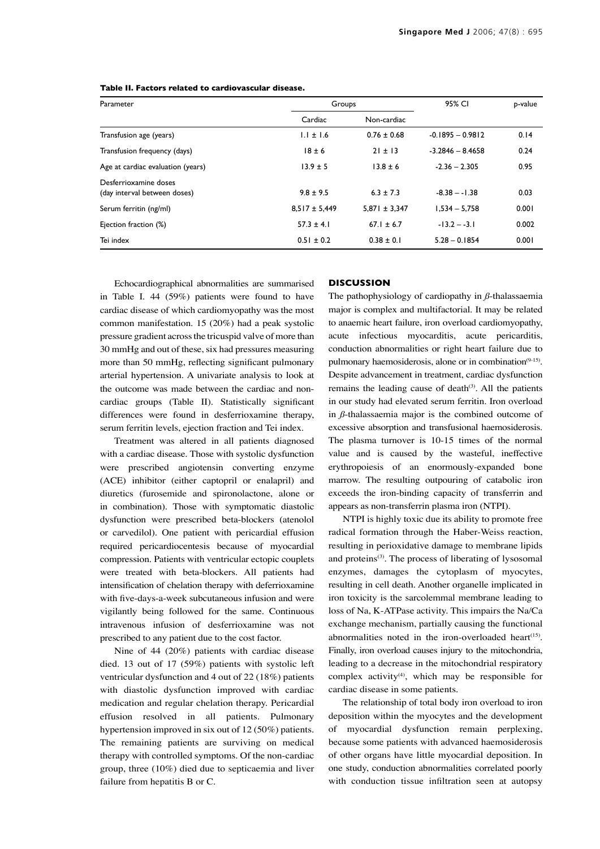| Parameter                                             | Groups            |                   | 95% CI             | p-value |
|-------------------------------------------------------|-------------------|-------------------|--------------------|---------|
|                                                       | Cardiac           | Non-cardiac       |                    |         |
| Transfusion age (years)                               | $1.1 \pm 1.6$     | $0.76 \pm 0.68$   | $-0.1895 - 0.9812$ | 0.14    |
| Transfusion frequency (days)                          | $18 \pm 6$        | $21 \pm 13$       | $-3.2846 - 8.4658$ | 0.24    |
| Age at cardiac evaluation (years)                     | $13.9 \pm 5$      | $13.8 \pm 6$      | $-2.36 - 2.305$    | 0.95    |
| Desferrioxamine doses<br>(day interval between doses) | $9.8 \pm 9.5$     | $6.3 \pm 7.3$     | $-8.38 - -1.38$    | 0.03    |
| Serum ferritin (ng/ml)                                | $8.517 \pm 5.449$ | $5.871 \pm 3.347$ | $1.534 - 5.758$    | 0.001   |
| Ejection fraction (%)                                 | $57.3 \pm 4.1$    | $67.1 \pm 6.7$    | $-13.2 - -3.1$     | 0.002   |
| Tei index                                             | $0.51 \pm 0.2$    | $0.38 \pm 0.1$    | $5.28 - 0.1854$    | 0.001   |

**Table II. Factors related to cardiovascular disease.**

Echocardiographical abnormalities are summarised in Table I. 44 (59%) patients were found to have cardiac disease of which cardiomyopathy was the most common manifestation. 15 (20%) had a peak systolic pressure gradient across the tricuspid valve of more than 30 mmHg and out of these, six had pressures measuring more than 50 mmHg, reflecting significant pulmonary arterial hypertension. A univariate analysis to look at the outcome was made between the cardiac and noncardiac groups (Table II). Statistically significant differences were found in desferrioxamine therapy, serum ferritin levels, ejection fraction and Tei index.

Treatment was altered in all patients diagnosed with a cardiac disease. Those with systolic dysfunction were prescribed angiotensin converting enzyme (ACE) inhibitor (either captopril or enalapril) and diuretics (furosemide and spironolactone, alone or in combination). Those with symptomatic diastolic dysfunction were prescribed beta-blockers (atenolol or carvedilol). One patient with pericardial effusion required pericardiocentesis because of myocardial compression. Patients with ventricular ectopic couplets were treated with beta-blockers. All patients had intensification of chelation therapy with deferrioxamine with five-days-a-week subcutaneous infusion and were vigilantly being followed for the same. Continuous intravenous infusion of desferrioxamine was not prescribed to any patient due to the cost factor.

Nine of 44 (20%) patients with cardiac disease died. 13 out of 17 (59%) patients with systolic left ventricular dysfunction and 4 out of 22 (18%) patients with diastolic dysfunction improved with cardiac medication and regular chelation therapy. Pericardial effusion resolved in all patients. Pulmonary hypertension improved in six out of 12 (50%) patients. The remaining patients are surviving on medical therapy with controlled symptoms. Of the non-cardiac group, three (10%) died due to septicaemia and liver failure from hepatitis B or C.

# **DISCUSSION**

The pathophysiology of cardiopathy in *ß*-thalassaemia major is complex and multifactorial. It may be related to anaemic heart failure, iron overload cardiomyopathy, acute infectious myocarditis, acute pericarditis, conduction abnormalities or right heart failure due to pulmonary haemosiderosis, alone or in combination<sup>(9-15)</sup>. Despite advancement in treatment, cardiac dysfunction remains the leading cause of death $(3)$ . All the patients in our study had elevated serum ferritin. Iron overload in *ß*-thalassaemia major is the combined outcome of excessive absorption and transfusional haemosiderosis. The plasma turnover is 10-15 times of the normal value and is caused by the wasteful, ineffective erythropoiesis of an enormously-expanded bone marrow. The resulting outpouring of catabolic iron exceeds the iron-binding capacity of transferrin and appears as non-transferrin plasma iron (NTPI).

NTPI is highly toxic due its ability to promote free radical formation through the Haber-Weiss reaction, resulting in perioxidative damage to membrane lipids and proteins<sup>(3)</sup>. The process of liberating of lysosomal enzymes, damages the cytoplasm of myocytes, resulting in cell death. Another organelle implicated in iron toxicity is the sarcolemmal membrane leading to loss of Na, K-ATPase activity. This impairs the Na/Ca exchange mechanism, partially causing the functional abnormalities noted in the iron-overloaded heart<sup> $(15)$ </sup>. Finally, iron overload causes injury to the mitochondria, leading to a decrease in the mitochondrial respiratory complex activity<sup>(4)</sup>, which may be responsible for cardiac disease in some patients.

The relationship of total body iron overload to iron deposition within the myocytes and the development of myocardial dysfunction remain perplexing, because some patients with advanced haemosiderosis of other organs have little myocardial deposition. In one study, conduction abnormalities correlated poorly with conduction tissue infiltration seen at autopsy